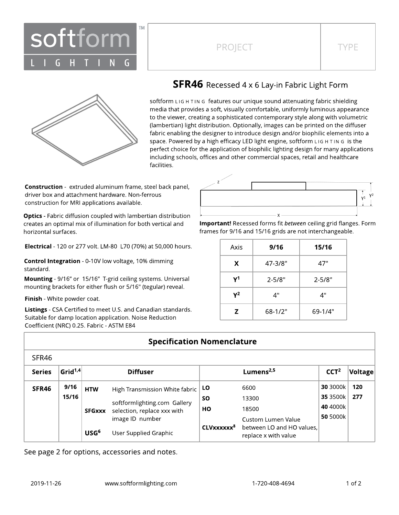

## PROJECT TYPE



### **SFR46** Recessed 4 x 6 Lay-in Fabric Light Form

softform LIG H TIN G features our unique sound attenuating fabric shielding media that provides a soft, visually comfortable, uniformly luminous appearance to the viewer, creating a sophisticated contemporary style along with volumetric (lambertian) light distribution. Optionally, images can be printed on the diffuser fabric enabling the designer to introduce design and/or biophilic elements into a space. Powered by a high efficacy LED light engine, softform L IG H T IN G is the perfect choice for the application of biophilic lighting design for many applications including schools, offices and other commercial spaces, retail and healthcare facilities.

**Construction** - extruded aluminum frame, steel back panel, driver box and attachment hardware. Non-ferrous construction for MRI applications available.

**Optics** - Fabric diffusion coupled with lambertian distribution creates an optimal mix of illumination for both vertical and horizontal surfaces.

Electrical - 120 or 277 volt. LM-80 L70 (70%) at 50,000 hours.

Control Integration - 0-10V low voltage, 10% dimming standard.

Mounting - 9/16" or 15/16" T-grid ceiling systems. Universal mounting brackets for either flush or 5/16" (tegular) reveal.

Finish - White powder coat.

Listings - CSA Certified to meet U.S. and Canadian standards. Suitable for damp location application. Noise Reduction Coefficient (NRC) 0.25. Fabric - ASTM E84



Important! Recessed forms fit between ceiling grid flanges. Form frames for 9/16 and 15/16 grids are not interchangeable.

| Axis | 9/16       | 15/16      |  |  |
|------|------------|------------|--|--|
| X.   | 47-3/8"    | 47"        |  |  |
| γ1   | $2 - 5/8"$ | $2 - 5/8"$ |  |  |
| Υ2   | 4"         | 4"         |  |  |
| z    | $68-1/2"$  | $69-1/4"$  |  |  |

### **Specification Nomenclature**

| 25R40         |            |                  |                                                                       |                        |                                                   |                  |         |
|---------------|------------|------------------|-----------------------------------------------------------------------|------------------------|---------------------------------------------------|------------------|---------|
| <b>Series</b> | Grid $1,4$ | <b>Diffuser</b>  |                                                                       | Lumens $2,5$           |                                                   | CCT <sup>2</sup> | Voltage |
| SFR46         | 9/16       | <b>HTW</b>       | High Transmission White fabric                                        | <b>LO</b>              | 6600                                              | 30 3000k         | 120     |
|               | 15/16      |                  | softformlighting.com Gallery                                          | <b>SO</b>              | 13300                                             | 35 3500k         | 277     |
|               |            |                  | HО<br>selection, replace xxx with<br><b>SFGxxx</b><br>image ID number |                        | 18500                                             | 40 4000k         |         |
|               |            |                  |                                                                       | Custom Lumen Value     | 50 5000k                                          |                  |         |
|               |            | USG <sup>6</sup> | User Supplied Graphic                                                 | CLVxxxxxx <sup>8</sup> | between LO and HO values.<br>replace x with value |                  |         |

See page 2 for options, accessories and notes.

 $CFDAC$